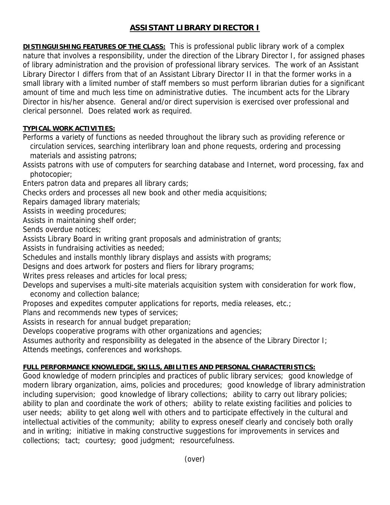## **ASSISTANT LIBRARY DIRECTOR I**

**DISTINGUISHING FEATURES OF THE CLASS:** This is professional public library work of a complex nature that involves a responsibility, under the direction of the Library Director I, for assigned phases of library administration and the provision of professional library services. The work of an Assistant Library Director I differs from that of an Assistant Library Director II in that the former works in a small library with a limited number of staff members so must perform librarian duties for a significant amount of time and much less time on administrative duties. The incumbent acts for the Library Director in his/her absence. General and/or direct supervision is exercised over professional and clerical personnel. Does related work as required.

## **TYPICAL WORK ACTIVITIES:**

Performs a variety of functions as needed throughout the library such as providing reference or circulation services, searching interlibrary loan and phone requests, ordering and processing materials and assisting patrons;

Assists patrons with use of computers for searching database and Internet, word processing, fax and photocopier;

Enters patron data and prepares all library cards;

Checks orders and processes all new book and other media acquisitions;

Repairs damaged library materials;

Assists in weeding procedures;

Assists in maintaining shelf order;

Sends overdue notices;

Assists Library Board in writing grant proposals and administration of grants;

Assists in fundraising activities as needed;

Schedules and installs monthly library displays and assists with programs;

Designs and does artwork for posters and fliers for library programs;

Writes press releases and articles for local press;

Develops and supervises a multi-site materials acquisition system with consideration for work flow, economy and collection balance;

Proposes and expedites computer applications for reports, media releases, etc.;

Plans and recommends new types of services;

Assists in research for annual budget preparation;

Develops cooperative programs with other organizations and agencies;

Assumes authority and responsibility as delegated in the absence of the Library Director I;

Attends meetings, conferences and workshops.

## **FULL PERFORMANCE KNOWLEDGE, SKILLS, ABILITIES AND PERSONAL CHARACTERISTICS:**

Good knowledge of modern principles and practices of public library services; good knowledge of modern library organization, aims, policies and procedures; good knowledge of library administration including supervision; good knowledge of library collections; ability to carry out library policies; ability to plan and coordinate the work of others; ability to relate existing facilities and policies to user needs; ability to get along well with others and to participate effectively in the cultural and intellectual activities of the community; ability to express oneself clearly and concisely both orally and in writing; initiative in making constructive suggestions for improvements in services and collections; tact; courtesy; good judgment; resourcefulness.